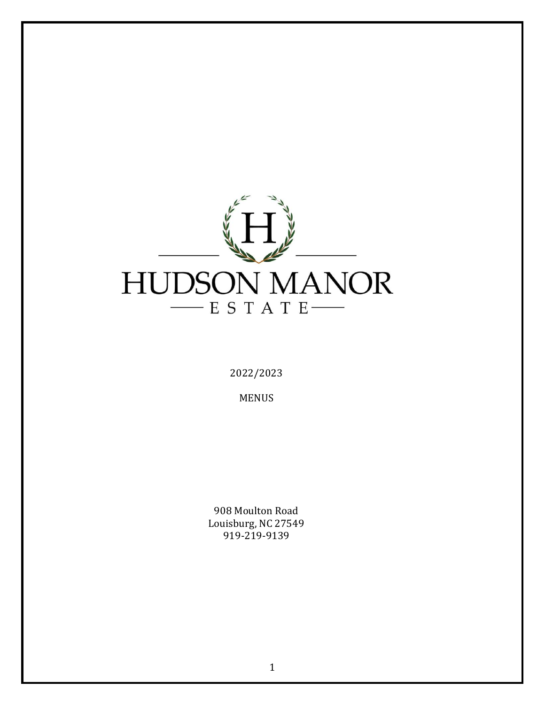

2022/2023

MENUS

908 Moulton Road Louisburg, NC 27549 919-219-9139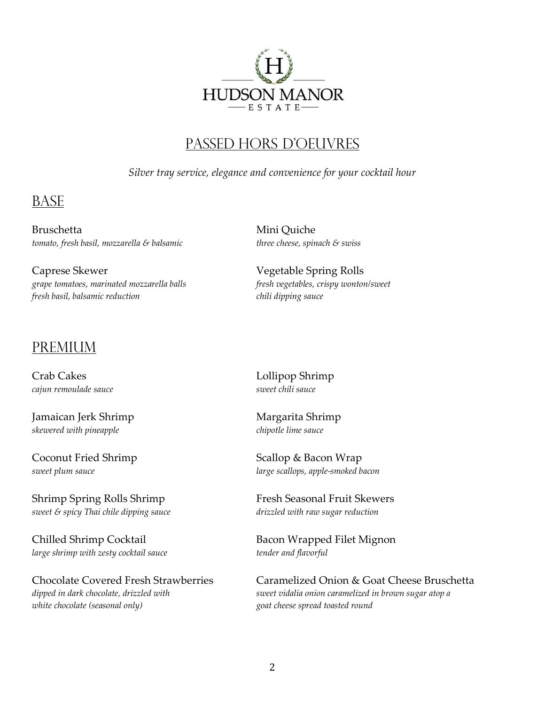

#### Passed hors d'oeuvres

*Silver tray service, elegance and convenience for your cocktail hour*

### **BASE**

Bruschetta Mini Quiche *tomato, fresh basil, mozzarella & balsamic three cheese, spinach & swiss*

Caprese Skewer Vegetable Spring Rolls *grape tomatoes, marinated mozzarella balls fresh vegetables, crispy wonton/sweet fresh basil, balsamic reduction chili dipping sauce*

#### **PREMIUM**

Crab Cakes Lollipop Shrimp *cajun remoulade sauce* sauce sauce sweet chili sauce

Jamaican Jerk Shrimp Margarita Shrimp *skewered with pineapple chipotle lime sauce*

Coconut Fried Shrimp Scallop & Bacon Wrap

Shrimp Spring Rolls Shrimp Tresh Seasonal Fruit Skewers *sweet & spicy Thai chile dipping sauce drizzled with raw sugar reduction*

*large shrimp with zesty cocktail sauce tender and flavorful*

*white chocolate (seasonal only) goat cheese spread toasted round*

*sweet plum sauce large scallops, apple-smoked bacon*

Chilled Shrimp Cocktail **Bacon Wrapped Filet Mignon** 

Chocolate Covered Fresh Strawberries Caramelized Onion & Goat Cheese Bruschetta *dipped in dark chocolate, drizzled with sweet vidalia onion caramelized in brown sugar atop a*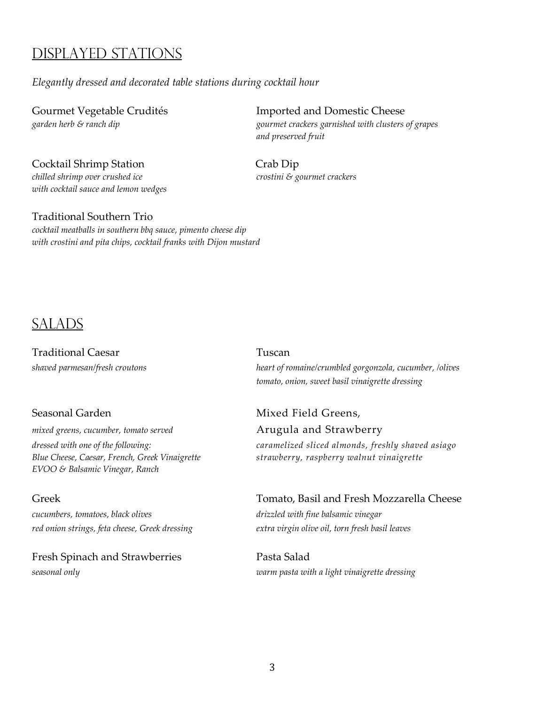### Displayed Stations

#### *Elegantly dressed and decorated table stations during cocktail hour*

Cocktail Shrimp Station Crab Dip *chilled shrimp over crushed ice* crostini & gourmet crackers *with cocktail sauce and lemon wedges*

#### Traditional Southern Trio

*cocktail meatballs in southern bbq sauce, pimento cheese dip with crostini and pita chips, cocktail franks with Dijon mustard*

#### **SALADS**

Traditional Caesar Traditional Caesar

mixed greens, cucumber, tomato served **Arugula and Strawberry** *Blue Cheese, Caesar, French, Greek Vinaigrette strawberry, raspberry walnut vinaigrette EVOO & Balsamic Vinegar, Ranch*

*cucumbers, tomatoes, black olives drizzled with fine balsamic vinegar red onion strings, feta cheese, Greek dressing extra virgin olive oil, torn fresh basil leaves*

Fresh Spinach and Strawberries Pasta Salad

Gourmet Vegetable Crudités **Imported and Domestic Cheese** *garden herb & ranch dip gourmet crackers garnished with clusters of grapes and preserved fruit*

*shaved parmesan/fresh croutons heart of romaine/crumbled gorgonzola, cucumber, /olives tomato, onion, sweet basil vinaigrette dressing*

# Seasonal Garden **Mixed Field Greens**,

*dressed with one of the following: caramelized sliced almonds, freshly shaved asiago*

# Greek Tomato, Basil and Fresh Mozzarella Cheese

## *seasonal only warm pasta with a light vinaigrette dressing*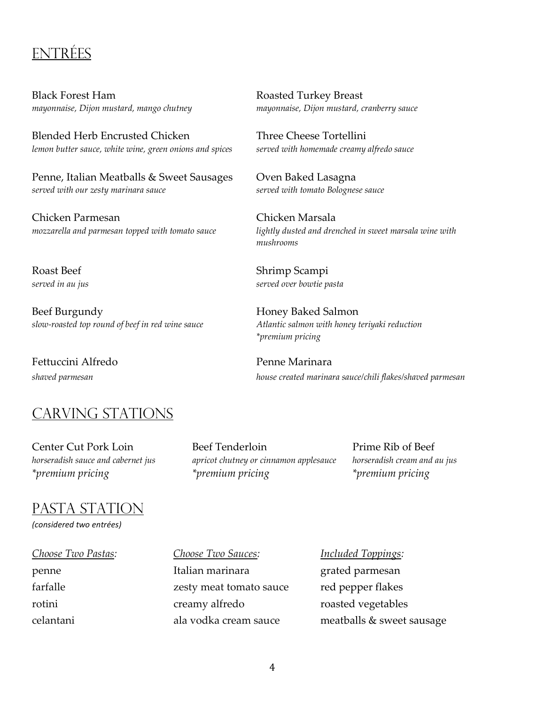### **ENTRÉES**

Black Forest Ham Roasted Turkey Breast *mayonnaise, Dijon mustard, mango chutney mayonnaise, Dijon mustard, cranberry sauce*

Blended Herb Encrusted Chicken Three Cheese Tortellini *lemon butter sauce, white wine, green onions and spices served with homemade creamy alfredo sauce*

Penne, Italian Meatballs & Sweet Sausages Oven Baked Lasagna *served with our zesty marinara sauce served with tomato Bolognese sauce*

Chicken Parmesan Chicken Marsala

Beef Burgundy **Honey Baked Salmon** *slow-roasted top round of beef in red wine sauce Atlantic salmon with honey teriyaki reduction* 

Fettuccini Alfredo Penne Marinara

### CARVING STATIONS

Center Cut Pork Loin Beef Tenderloin Prime Rib of Beef *horseradish sauce and cabernet jus apricot chutney or cinnamon applesauce horseradish cream and au jus \*premium pricing \*premium pricing \*premium pricing*

#### Pasta Station

*(considered two entrées)*

penne Italian marinara grated parmesan farfalle *zesty meat tomato sauce* red pepper flakes rotini creamy alfredo roasted vegetables

*Choose Two Pastas: Choose Two Sauces: Included Toppings:* celantani ala vodka cream sauce meatballs & sweet sausage

*mozzarella and parmesan topped with tomato sauce lightly dusted and drenched in sweet marsala wine with mushrooms*

Roast Beef Shrimp Scampi *served in au jus served over bowtie pasta*

*\*premium pricing*

*shaved parmesan house created marinara sauce/chili flakes/shaved parmesan*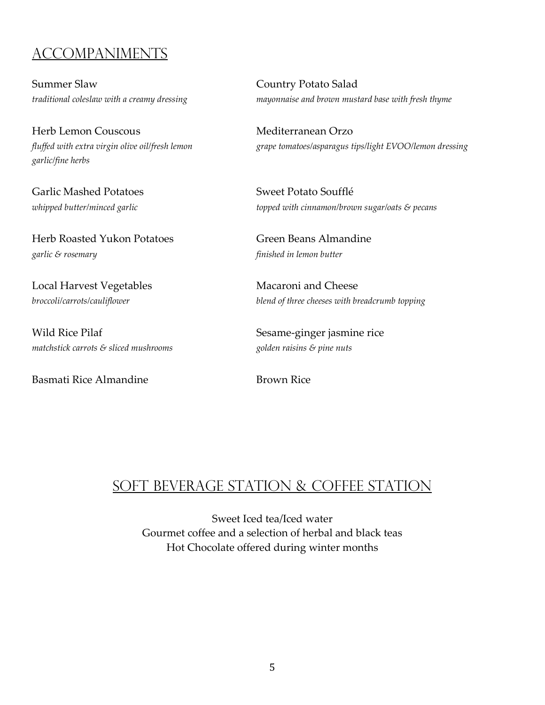### Accompaniments

Summer Slaw Country Potato Salad

Herb Lemon Couscous Mediterranean Orzo *garlic/fine herbs*

Garlic Mashed Potatoes Sweet Potato Soufflé

Herb Roasted Yukon Potatoes Green Beans Almandine *garlic & rosemary finished in lemon butter*

Local Harvest Vegetables Macaroni and Cheese

Wild Rice Pilaf Sesame-ginger jasmine rice *matchstick carrots & sliced mushrooms golden raisins & pine nuts*

Basmati Rice Almandine **Brown Rice** Brown Rice

*traditional coleslaw with a creamy dressing mayonnaise and brown mustard base with fresh thyme*

*fluffed with extra virgin olive oil/fresh lemon grape tomatoes/asparagus tips/light EVOO/lemon dressing*

*whipped butter/minced garlic topped with cinnamon/brown sugar/oats & pecans*

*broccoli/carrots/cauliflower blend of three cheeses with breadcrumb topping*

#### Soft Beverage Station & Coffee Station

Sweet Iced tea/Iced water Gourmet coffee and a selection of herbal and black teas Hot Chocolate offered during winter months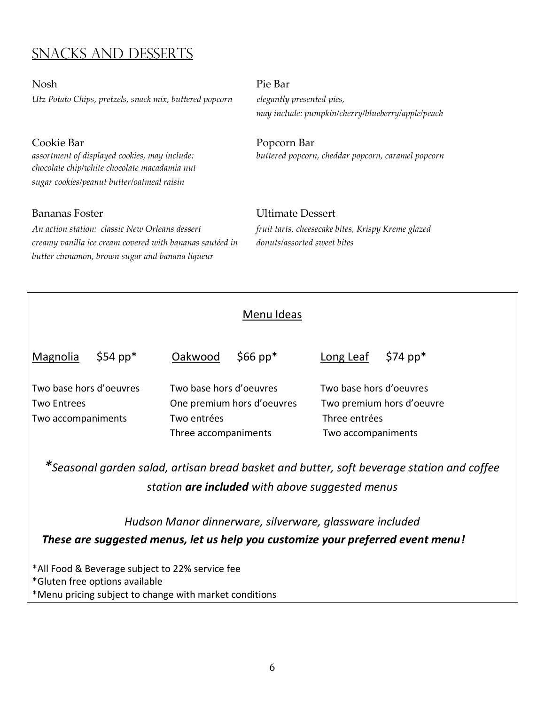### Snacks and desserts

Nosh Pie Bar *Utz Potato Chips, pretzels, snack mix, buttered popcorn elegantly presented pies,* 

*chocolate chip/white chocolate macadamia nut sugar cookies/peanut butter/oatmeal raisin*

*An action station: classic New Orleans dessert fruit tarts, cheesecake bites, Krispy Kreme glazed creamy vanilla ice cream covered with bananas sautéed in donuts/assorted sweet bites butter cinnamon, brown sugar and banana liqueur*

 *may include: pumpkin/cherry/blueberry/apple/peach*

Cookie Bar Popcorn Bar *assortment of displayed cookies, may include: buttered popcorn, cheddar popcorn, caramel popcorn*

# Bananas Foster Ultimate Dessert

#### Menu Ideas

| Magnolia                                                            | $$54~pp*$ | Oakwood                                                                                      | $$66$ pp* | Long Leaf                                                                                   | $$74~\text{pp}^*$$ |
|---------------------------------------------------------------------|-----------|----------------------------------------------------------------------------------------------|-----------|---------------------------------------------------------------------------------------------|--------------------|
| Two base hors d'oeuvres<br><b>Two Entrees</b><br>Two accompaniments |           | Two base hors d'oeuvres<br>One premium hors d'oeuvres<br>Two entrées<br>Three accompaniments |           | Two base hors d'oeuvres<br>Two premium hors d'oeuvre<br>Three entrées<br>Two accompaniments |                    |

*\*Seasonal garden salad, artisan bread basket and butter, soft beverage station and coffee station are included with above suggested menus*

*Hudson Manor dinnerware, silverware, glassware included These are suggested menus, let us help you customize your preferred event menu!*

\*All Food & Beverage subject to 22% service fee \*Gluten free options available \*Menu pricing subject to change with market conditions